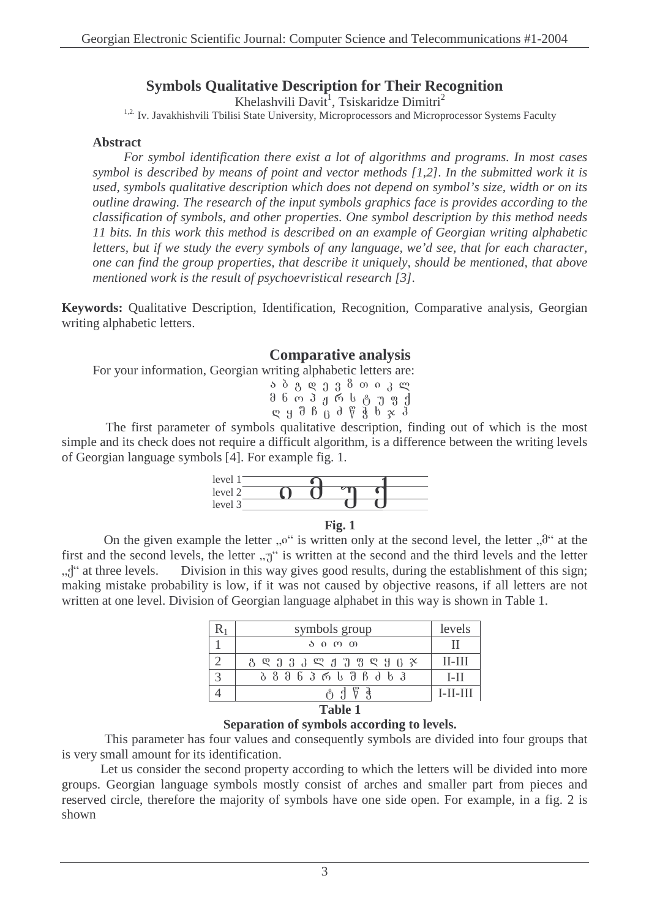# **Symbols Qualitative Description for Their Recognition**

Khelashvili Davit<sup>1</sup>, Tsiskaridze Dimitri<sup>2</sup>

<sup>1,2.</sup> Iv. Javakhishvili Tbilisi State University, Microprocessors and Microprocessor Systems Faculty

## **Abstract**

*For symbol identification there exist a lot of algorithms and programs. In most cases symbol is described by means of point and vector methods [1,2]. In the submitted work it is used, symbols qualitative description which does not depend on symbol's size, width or on its outline drawing. The research of the input symbols graphics face is provides according to the classification of symbols, and other properties. One symbol description by this method needs 11 bits. In this work this method is described on an example of Georgian writing alphabetic letters, but if we study the every symbols of any language, we'd see, that for each character, one can find the group properties, that describe it uniquely, should be mentioned, that above mentioned work is the result of psychoevristical research [3].*

**Keywords:** Qualitative Description, Identification, Recognition, Comparative analysis, Georgian writing alphabetic letters.

## **Comparative analysis**

For your information, Georgian writing alphabetic letters are:

|  |  |  | ა ბ გ დ ე ვ 8 თ ი კ ლ                                                                                     |  |  |
|--|--|--|-----------------------------------------------------------------------------------------------------------|--|--|
|  |  |  | მ ნ ო პ ჟ რ ს ტ უ ფ ქ                                                                                     |  |  |
|  |  |  | $R$ g d $B$ $\overline{B}$ d $\overline{C}$ $\overline{B}$ b $\overline{C}$ $\overline{C}$ $\overline{C}$ |  |  |

The first parameter of symbols qualitative description, finding out of which is the most simple and its check does not require a difficult algorithm, is a difference between the writing levels of Georgian language symbols [4]. For example fig. 1.





On the given example the letter " $o$ " is written only at the second level, the letter " $\theta$ " at the first and the second levels, the letter  $\pi$ <sup>"</sup> is written at the second and the third levels and the letter  $\mathcal{A}^{\prime\prime}$  at three levels. Division in this way gives good results, during the establishment of this sign; making mistake probability is low, if it was not caused by objective reasons, if all letters are not written at one level. Division of Georgian language alphabet in this way is shown in Table 1.

|                | symbols group               | levels     |  |  |
|----------------|-----------------------------|------------|--|--|
|                | აიო თ                       | Н          |  |  |
|                | 8 _ 8 3 3 _ 8 4 7 8 4 8 8 8 | $II-III$   |  |  |
|                | Ბ Გ Მ Ნ Პ Რ Ს Შ Ჩ Ძ Ხ Ჰ     | $I-II$     |  |  |
|                | ര് 1                        | $I-II-III$ |  |  |
| <b>Table 1</b> |                             |            |  |  |

## **Separation of symbols according to levels.**

This parameter has four values and consequently symbols are divided into four groups that is very small amount for its identification.

Let us consider the second property according to which the letters will be divided into more groups. Georgian language symbols mostly consist of arches and smaller part from pieces and reserved circle, therefore the majority of symbols have one side open. For example, in a fig. 2 is shown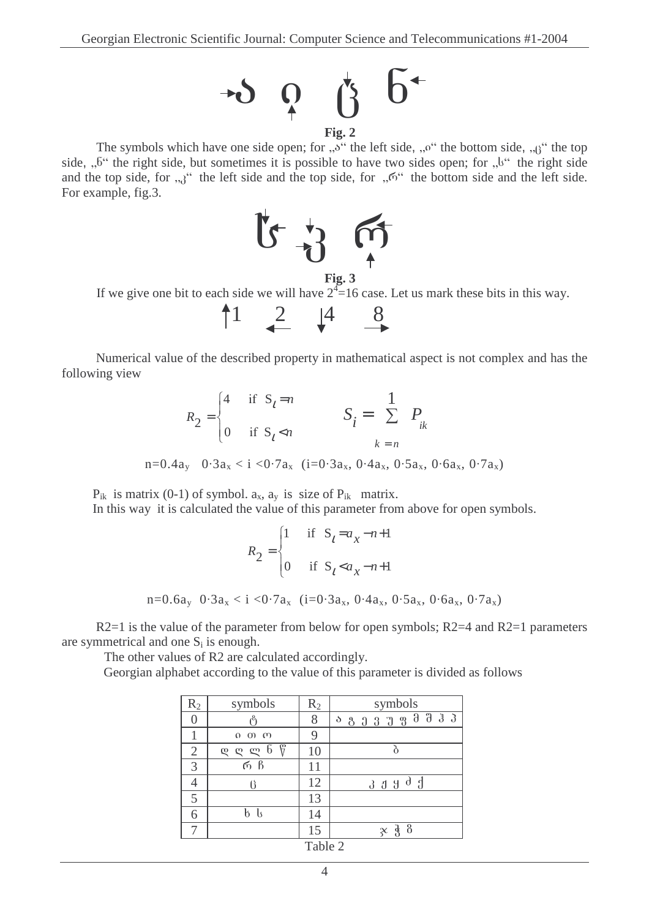

The symbols which have one side open; for  $, 5$ " the left side,  $, 0$ " the bottom side,  $, 0$ " the top side,  $, .5$ " the right side, but sometimes it is possible to have two sides open; for  $, .b$ " the right side and the top side, for  $\mathfrak{g}_{3}$ <sup>"</sup> the left side and the top side, for  $\mathfrak{g}_{5}$ <sup>"</sup> the bottom side and the left side. For example, fig.3.



If we give one bit to each side we will have  $2^4 = 16$  case. Let us mark these bits in this way.



Numerical value of the described property in mathematical aspect is not complex and has the following view

$$
R_2 = \begin{cases} 4 & \text{if } S_t = n \\ 0 & \text{if } S_t < n \end{cases} \qquad S_i = \sum_{k = n}^{1} P_{ik}
$$
\n
$$
n = 0.4a_y \quad 0.3a_x < i < 0.7a_x \quad (i = 0.3a_x, 0.4a_x, 0.5a_x, 0.6a_x, 0.7a_x)
$$

 $P_{ik}$  is matrix (0-1) of symbol.  $a_x$ ,  $a_y$  is size of  $P_{ik}$  matrix.

In this way it is calculated the value of this parameter from above for open symbols.

$$
R_2 = \begin{cases} 1 & \text{if } S_t = a_x - n + 1 \\ 0 & \text{if } S_t < a_x - n + 1 \end{cases}
$$
\n
$$
n = 0.6a_y \quad 0.3a_x < i < 0.7a_x \quad (i = 0.3a_x, 0.4a_x, 0.5a_x, 0.6a_x, 0.7a_x)
$$

 $R2=1$  is the value of the parameter from below for open symbols;  $R2=4$  and  $R2=1$  parameters are symmetrical and one  $S_i$  is enough.

The other values of R2 are calculated accordingly.

Georgian alphabet according to the value of this parameter is divided as follows

| $R_2$          | symbols                                    | $R_2$ | symbols                                                           |  |  |  |  |  |
|----------------|--------------------------------------------|-------|-------------------------------------------------------------------|--|--|--|--|--|
|                |                                            | 8     | $0 0 0 0 0 0 0 0 0 0 0 0 0 0 0 0 0 0 0 0 0 0 0 0 0 0 0 0 0 0 0 0$ |  |  |  |  |  |
|                | $0 \cup 0 \cup$                            | 9     |                                                                   |  |  |  |  |  |
| $\overline{2}$ | ۳<br>b<br>$\boldsymbol{\varrho}$<br>ლ<br>ღ | 10    |                                                                   |  |  |  |  |  |
| 3              | რ ჩ                                        |       |                                                                   |  |  |  |  |  |
| 4              |                                            | 12    | 3JJJdJ                                                            |  |  |  |  |  |
| 5              |                                            | 13    |                                                                   |  |  |  |  |  |
| 6              | b ls                                       | 14    |                                                                   |  |  |  |  |  |
|                |                                            | 15    | -8<br>$\chi$                                                      |  |  |  |  |  |
| $T_0L1_0$      |                                            |       |                                                                   |  |  |  |  |  |

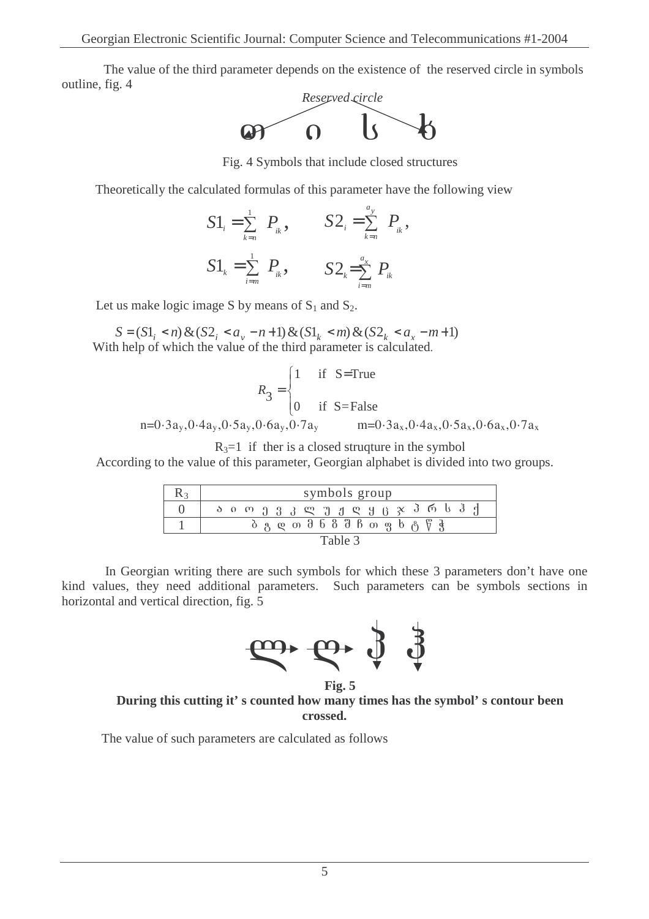The value of the third parameter depends on the existence of the reserved circle in symbols outline, fig. 4



Fig. 4 Symbols that include closed structures

Theoretically the calculated formulas of this parameter have the following view

$$
S1_{i} = \sum_{k=n}^{1} P_{ik}, \qquad S2_{i} = \sum_{k=n}^{a_{y}} P_{ik},
$$
  

$$
S1_{k} = \sum_{i=m}^{1} P_{ik}, \qquad S2_{k} = \sum_{i=m}^{a_{x}} P_{ik}
$$

Let us make logic image S by means of  $S_1$  and  $S_2$ .

With help of which the value of the third parameter is calculated.  $S = (S1, *n*) \& (S2, *a*, -*n*+1) \& (S1, *m*) \& (S2, *a*, -*m*+1)$ 

$$
R_3 = \begin{cases} 1 & \text{if } S = \text{True} \\ 0 & \text{if } S = \text{False} \end{cases}
$$
  
n=0.3a<sub>y</sub>,0.4a<sub>y</sub>,0.5a<sub>y</sub>,0.6a<sub>y</sub>,0.7a<sub>y</sub> m=0.3a<sub>x</sub>,0.4a<sub>x</sub>,0.5a<sub>x</sub>,0.6a<sub>x</sub>,0.7a<sub>x</sub>

 $R_3=1$  if ther is a closed strugture in the symbol

According to the value of this parameter, Georgian alphabet is divided into two groups.

|         | symbols group                                                                                                                         |  |  |  |
|---------|---------------------------------------------------------------------------------------------------------------------------------------|--|--|--|
|         | $\delta$ o o $\eta$ $\delta$ $\beta$ $\chi$ $\eta$ $\eta$ $\chi$ $\chi$ $\eta$ $\eta$ $\chi$ $\delta$ $\eta$ $\delta$ $\delta$ $\eta$ |  |  |  |
|         | $\delta$ ပ လ အ $\delta$ ၆ $\delta$ ဗီ ၆ ၈ ရှာ ၆ ၉ ၆ ရှ                                                                                |  |  |  |
| Table 3 |                                                                                                                                       |  |  |  |

In Georgian writing there are such symbols for which these 3 parameters don't have one kind values, they need additional parameters. Such parameters can be symbols sections in horizontal and vertical direction, fig. 5



**Fig. 5 During this cutting it' s counted how many times has the symbol' s contour been crossed.**

The value of such parameters are calculated as follows